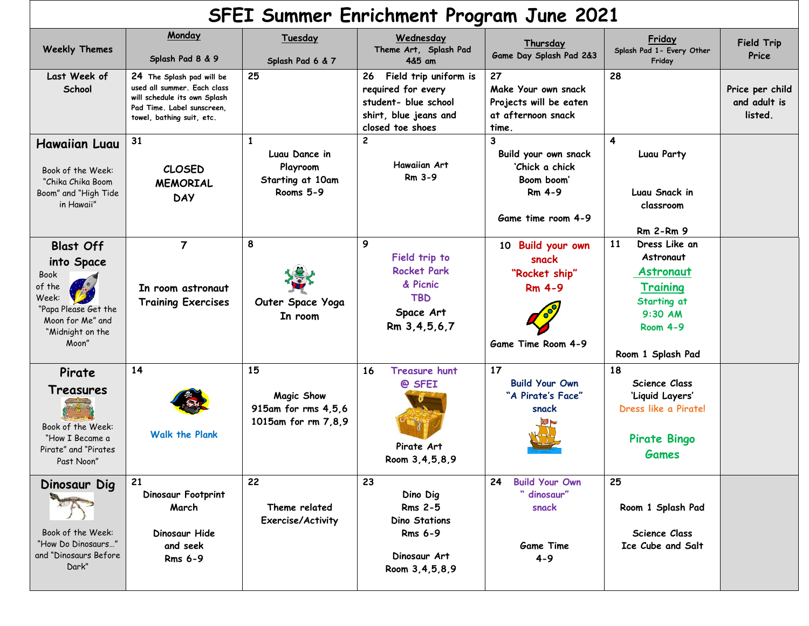| SFEI Summer Enrichment Program June 2021                                                                                           |                                                                                                                                                     |                                                                       |                                                                                                                        |                                                                                           |                                                                                                                                      |                                            |  |
|------------------------------------------------------------------------------------------------------------------------------------|-----------------------------------------------------------------------------------------------------------------------------------------------------|-----------------------------------------------------------------------|------------------------------------------------------------------------------------------------------------------------|-------------------------------------------------------------------------------------------|--------------------------------------------------------------------------------------------------------------------------------------|--------------------------------------------|--|
| <b>Weekly Themes</b>                                                                                                               | Monday<br>Splash Pad 8 & 9                                                                                                                          | Tuesday<br>Splash Pad 6 & 7                                           | Wednesday<br>Theme Art, Splash Pad<br>4&5 am                                                                           | Thursday<br>Game Day Splash Pad 2&3                                                       | Friday<br>Splash Pad 1- Every Other<br>Friday                                                                                        | <b>Field Trip</b><br>Price                 |  |
| Last Week of<br>School                                                                                                             | 24 The Splash pad will be<br>used all summer. Each class<br>will schedule its own Splash<br>Pad Time. Label sunscreen,<br>towel, bathing suit, etc. | 25                                                                    | Field trip uniform is<br>26<br>required for every<br>student- blue school<br>shirt, blue jeans and<br>closed toe shoes | 27<br>Make Your own snack<br>Projects will be eaten<br>at afternoon snack<br>time.        | 28                                                                                                                                   | Price per child<br>and adult is<br>listed. |  |
| <b>Hawaiian Luau</b><br>Book of the Week:<br>"Chika Chika Boom<br>Boom" and "High Tide<br>in Hawaii"                               | 31<br><b>CLOSED</b><br><b>MEMORIAL</b><br><b>DAY</b>                                                                                                | Luau Dance in<br>Playroom<br>Starting at 10am<br>Rooms 5-9            | $\mathbf{2}$<br><b>Hawaiian Art</b><br>Rm 3-9                                                                          | 3<br>Build your own snack<br>'Chick a chick<br>Boom boom'<br>Rm 4-9<br>Game time room 4-9 | 4<br>Luau Party<br>Luau Snack in<br>classroom<br><b>Rm 2-Rm 9</b>                                                                    |                                            |  |
| <b>Blast Off</b><br>into Space<br>Book<br>of the<br>Week:<br>"Papa Please Get the<br>Moon for Me" and<br>"Midnight on the<br>Moon" | $\overline{7}$<br>In room astronaut<br><b>Training Exercises</b>                                                                                    | 8<br>Outer Space Yoga<br>In room                                      | 9<br>Field trip to<br><b>Rocket Park</b><br>& Picnic<br><b>TBD</b><br>Space Art<br>Rm 3,4,5,6,7                        | 10 Build your own<br>snack<br>"Rocket ship"<br><b>Rm 4-9</b><br>Game Time Room 4-9        | 11<br>Dress Like an<br>Astronaut<br>Astronaut<br><u>Training</u><br>Starting at<br>$9:30$ AM<br><b>Room 4-9</b><br>Room 1 Splash Pad |                                            |  |
| Pirate<br>Treasures<br>Book of the Week:<br>"How I Became a<br>Pirate" and "Pirates<br>Past Noon"                                  | 14<br><b>Walk the Plank</b>                                                                                                                         | 15<br><b>Magic Show</b><br>915am for rms 4,5,6<br>1015am for rm 7,8,9 | 16<br><b>Treasure hunt</b><br>@ SFEI<br>Pirate Art<br>Room 3, 4, 5, 8, 9                                               | 17<br><b>Build Your Own</b><br>"A Pirate's Face"<br>snack                                 | 18<br><b>Science Class</b><br>'Liquid Layers'<br>Dress like a Pirate!<br><b>Pirate Bingo</b><br><b>Games</b>                         |                                            |  |
| Dinosaur Dig<br>Book of the Week:<br>"How Do Dinosaurs"<br>and "Dinosaurs Before<br>Dark"                                          | 21<br>Dinosaur Footprint<br>March<br>Dinosaur Hide<br>and seek<br><b>Rms 6-9</b>                                                                    | 22<br>Theme related<br>Exercise/Activity                              | 23<br>Dino Dig<br><b>Rms 2-5</b><br><b>Dino Stations</b><br><b>Rms 6-9</b><br>Dinosaur Art<br>Room 3, 4, 5, 8, 9       | <b>Build Your Own</b><br>24<br>" dinosaur"<br>snack<br><b>Game Time</b><br>$4 - 9$        | 25<br>Room 1 Splash Pad<br>Science Class<br>Ice Cube and Salt                                                                        |                                            |  |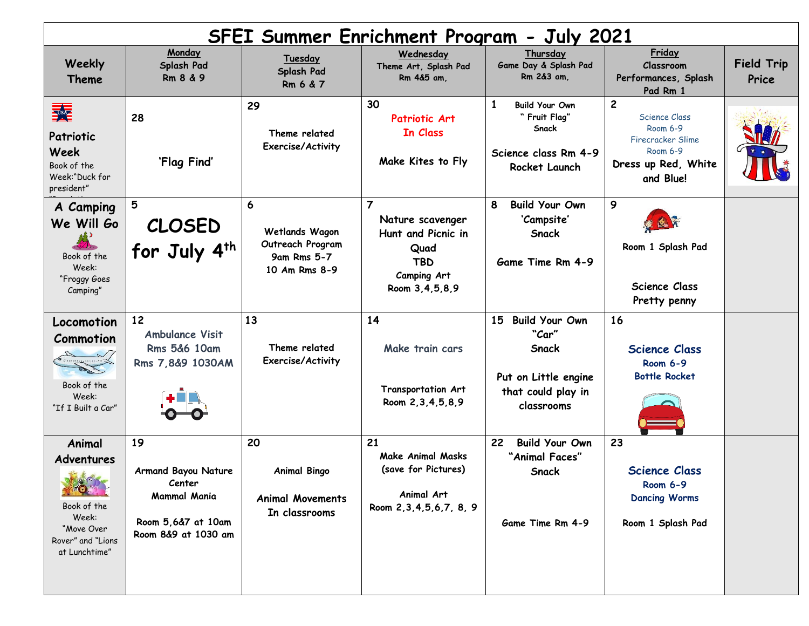| <b>SFEI Summer Enrichment Program - July 2021</b>                                                                         |                                                                                                         |                                                                         |                                                                                                                     |                                                                                                           |                                                                                                                |                            |  |
|---------------------------------------------------------------------------------------------------------------------------|---------------------------------------------------------------------------------------------------------|-------------------------------------------------------------------------|---------------------------------------------------------------------------------------------------------------------|-----------------------------------------------------------------------------------------------------------|----------------------------------------------------------------------------------------------------------------|----------------------------|--|
| Weekly<br><b>Theme</b>                                                                                                    | Monday<br>Splash Pad<br>Rm 8 & 9                                                                        | Tuesday<br>Splash Pad<br>Rm 6 & 7                                       | Wednesday<br>Theme Art, Splash Pad<br>Rm 4&5 am,                                                                    | Thursday<br>Game Day & Splash Pad<br>Rm 2&3 am,                                                           | Friday<br>Classroom<br>Performances, Splash<br>Pad Rm 1                                                        | <b>Field Trip</b><br>Price |  |
| 乘<br>Patriotic<br>Week<br>Book of the<br>Week:"Duck for<br>president"                                                     | 28<br>'Flag Find'                                                                                       | 29<br>Theme related<br><b>Exercise/Activity</b>                         | 30<br>Patriotic Art<br>In Class<br>Make Kites to Fly                                                                | 1<br><b>Build Your Own</b><br>" Fruit Flag"<br>Snack<br>Science class Rm 4-9<br>Rocket Launch             | $\mathbf{2}$<br>Science Class<br>Room 6-9<br>Firecracker Slime<br>Room 6-9<br>Dress up Red, White<br>and Blue! |                            |  |
| A Camping<br>We Will Go<br>Book of the<br>Week:<br>"Froggy Goes<br>Camping"                                               | 5<br><b>CLOSED</b><br>for July 4th                                                                      | 6<br>Wetlands Wagon<br>Outreach Program<br>9am Rms 5-7<br>10 Am Rms 8-9 | $\overline{7}$<br>Nature scavenger<br>Hunt and Picnic in<br>Quad<br><b>TBD</b><br>Camping Art<br>Room 3, 4, 5, 8, 9 | <b>Build Your Own</b><br>8<br>'Campsite'<br>Snack<br>Game Time Rm 4-9                                     | 9<br>Room 1 Splash Pad<br><b>Science Class</b><br>Pretty penny                                                 |                            |  |
| Locomotion<br>Commotion<br>Book of the<br>Week:<br>"If I Built a Car"                                                     | 12<br><b>Ambulance Visit</b><br><b>Rms 5&amp;6 10am</b><br>Rms 7,8&9 1030AM                             | 13<br>Theme related<br>Exercise/Activity                                | 14<br>Make train cars<br>Transportation Art<br>Room 2, 3, 4, 5, 8, 9                                                | <b>Build Your Own</b><br>15<br>"Car"<br>Snack<br>Put on Little engine<br>that could play in<br>classrooms | 16<br><b>Science Class</b><br><b>Room 6-9</b><br><b>Bottle Rocket</b>                                          |                            |  |
| Animal<br>Adventures<br><b>All Collection</b><br>Book of the<br>Week:<br>"Move Over<br>Rover" and "Lions<br>at Lunchtime" | 19<br><b>Armand Bayou Nature</b><br>Center<br>Mammal Mania<br>Room 5,6&7 at 10am<br>Room 8&9 at 1030 am | 20<br><b>Animal Bingo</b><br><b>Animal Movements</b><br>In classrooms   | 21<br><b>Make Animal Masks</b><br>(save for Pictures)<br>Animal Art<br>Room 2, 3, 4, 5, 6, 7, 8, 9                  | 22<br><b>Build Your Own</b><br>"Animal Faces"<br><b>Snack</b><br>Game Time Rm 4-9                         | 23<br><b>Science Class</b><br><b>Room 6-9</b><br><b>Dancing Worms</b><br>Room 1 Splash Pad                     |                            |  |